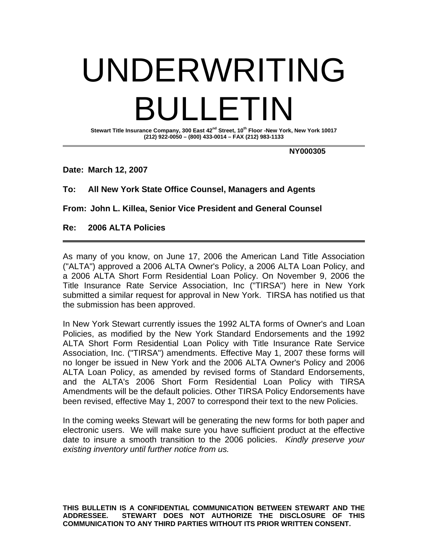## UNDERWRITING BULLETIN

**Stewart Title Insurance Company, 300 East 42nd Street, 10th Floor -New York, New York 10017 (212) 922-0050 – (800) 433-0014 – FAX (212) 983-1133** 

 **NY000305** 

**Date: March 12, 2007** 

## **To: All New York State Office Counsel, Managers and Agents**

**From: John L. Killea, Senior Vice President and General Counsel** 

**Re: 2006 ALTA Policies**

As many of you know, on June 17, 2006 the American Land Title Association ("ALTA") approved a 2006 ALTA Owner's Policy, a 2006 ALTA Loan Policy, and a 2006 ALTA Short Form Residential Loan Policy. On November 9, 2006 the Title Insurance Rate Service Association, Inc ("TIRSA") here in New York submitted a similar request for approval in New York. TIRSA has notified us that the submission has been approved.

In New York Stewart currently issues the 1992 ALTA forms of Owner's and Loan Policies, as modified by the New York Standard Endorsements and the 1992 ALTA Short Form Residential Loan Policy with Title Insurance Rate Service Association, Inc. ("TIRSA") amendments. Effective May 1, 2007 these forms will no longer be issued in New York and the 2006 ALTA Owner's Policy and 2006 ALTA Loan Policy, as amended by revised forms of Standard Endorsements, and the ALTA's 2006 Short Form Residential Loan Policy with TIRSA Amendments will be the default policies. Other TIRSA Policy Endorsements have been revised, effective May 1, 2007 to correspond their text to the new Policies.

In the coming weeks Stewart will be generating the new forms for both paper and electronic users. We will make sure you have sufficient product at the effective date to insure a smooth transition to the 2006 policies. *Kindly preserve your existing inventory until further notice from us.* 

**THIS BULLETIN IS A CONFIDENTIAL COMMUNICATION BETWEEN STEWART AND THE ADDRESSEE. STEWART DOES NOT AUTHORIZE THE DISCLOSURE OF THIS COMMUNICATION TO ANY THIRD PARTIES WITHOUT ITS PRIOR WRITTEN CONSENT.**